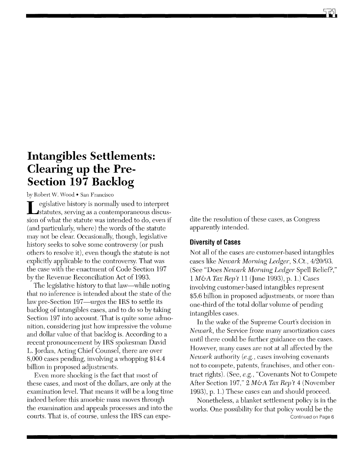## **Intangibles Settlements: Clearing up the Pre-Section 197 Backlog**

## by Robert W. Wood • San Francisco

L egislative history is normally used to interpret statutes, serving as a contemporaneous discussion of what the statute was intended to do, even if (and particularly, where) the words of the statute may not be clear. Occasionally, though, legislative history seeks to solve some controversy (or push others to resolve it), even though the statute is not explicitly applicable to the controversy. That was the case with the enactment of Code Section 197 by the Revenue Reconciliation Act of 1993.

The legislative history to that law—while noting that no inference is intended about the state of the law pre-Section 197—urges the IRS to settle its backlog of intangibles cases, and to do so by taking Section 197 into account. That is quite some admonition, considering just how impressive the volume and dollar value of that backlog is. According to a recent pronouncement by IRS spokesman David L. Jordan, Acting Chief Counsel, there are over 8,000 cases pending, involving a whopping \$14.4 billion in proposed adjustments.

Even more shocking is the fact that most of these cases, and most of the dollars, are only at the examination level. That means it will be a long time indeed before this amoebic mass moves through the examination and appeals processes and into the courts. That is, of course, unless the IRS can expedite the resolution of these cases, as Congress apparently intended.

## **DiverSity of Cases**

Not all of the cases are customer-based intangibles cases like *Newark Morning Ledger,* S.Ct., *4120/93.*  (See "Does *Newark Morning Ledger* Spell Relief?," 1 *M&A Tax Rep't* 11 (June 1993), p. l.) Cases involving customer-based intangibles represent \$5.6 billion in proposed adjustments, or more than one-third of the total dollar volume of pending intangibles cases.

In the wake of the Supreme Court's decision in *Newark*, the Service froze many amortization cases until there could be further guidance on the cases. However, many cases are not at all affected by the *Newark* authority (e.g., cases involving covenants not to compete, patents, franchises, and other contract rights). (See, *e.g.,* "Covenants Not to Compete After Section 197," 2 *M&A Tax Rep't* 4 (November 1993), p. l.) These cases can and should proceed.

Nonetheless, a blanket settlement policy is in the works. One possibility for that policy would be the Continued on Page 6